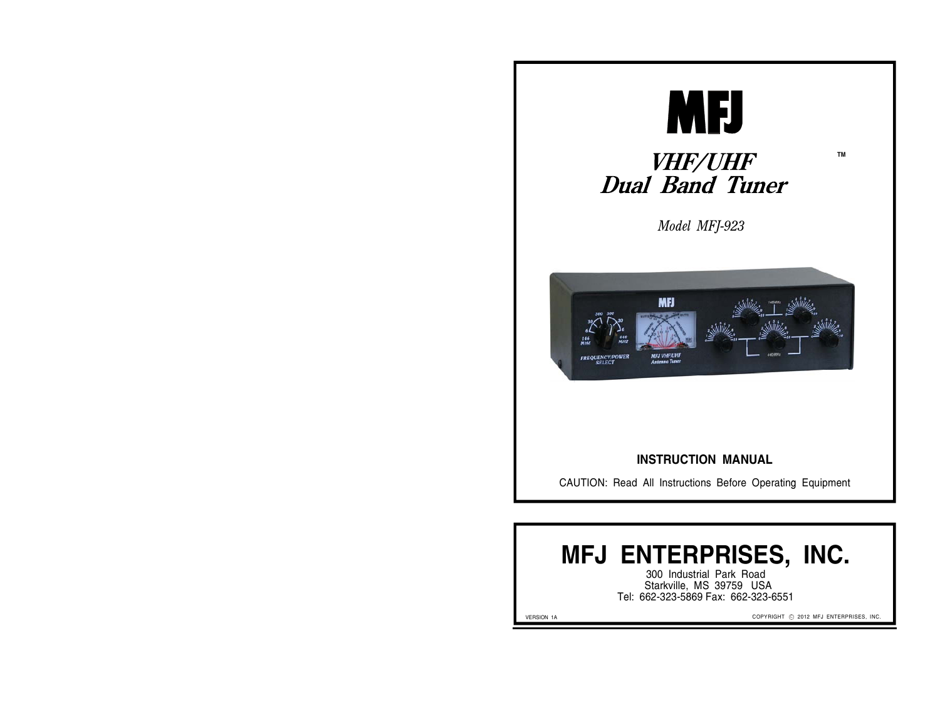

# **TM**

*Model MFJ-923*

*VHF/UHF<br>Dual Band Tuner* 



#### **INSTRUCTION MANUAL**

CAUTION: Read All Instructions Before Operating Equipment

# **MFJ ENTERPRISES, INC.**

300 Industrial Park Road Starkville, MS 39759 USA Tel: 662-323-5869 Fax: 662-323-6551

VERSION 1A

COPYRIGHT © 2012 MFJ ENTERPRISES, INC.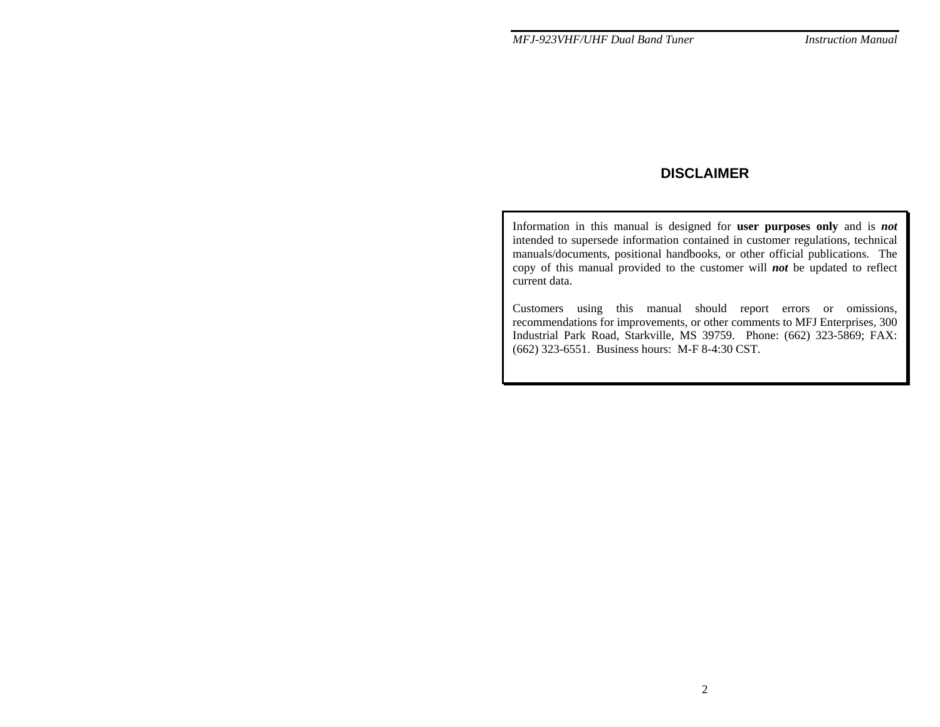# **DISCLAIMER**

Information in this manual is designed for **user purposes only** and is *not* intended to supersede information contained in customer regulations, technical manuals/documents, positional handbooks, or other official publications. The copy of this manual provided to the customer will *not* be updated to reflect current data.

Customers using this manual should report errors or omissions, recommendations for improvements, or other comments to MFJ Enterprises, 300 Industrial Park Road, Starkville, MS 39759. Phone: (662) 323-5869; FAX: (662) 323-6551. Business hours: M-F 8-4:30 CST.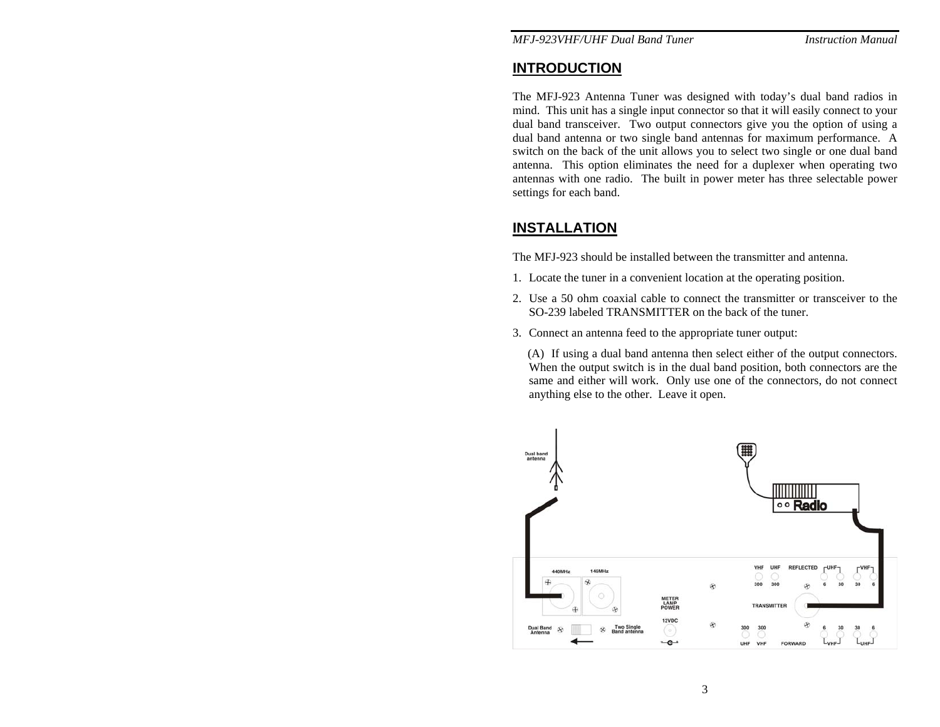# **INTRODUCTION**

The MFJ-923 Antenna Tuner was designed with today's dual band radios in mind. This unit has a single input connector so that it will easily connect to your dual band transceiver. Two output connectors give you the option of using a dual band antenna or two single band antennas for maximum performance. A switch on the back of the unit allows you to select two single or one dual band antenna. This option eliminates the need for a duplexer when operating two antennas with one radio. The built in power meter has three selectable power settings for each band.

# **INSTALLATION**

The MFJ-923 should be installed between the transmitter and antenna.

- 1. Locate the tuner in a convenient location at the operating position.
- 2. Use a 50 ohm coaxial cable to connect the transmitter or transceiver to the SO-239 labeled TRANSMITTER on the back of the tuner.
- 3. Connect an antenna feed to the appropriate tuner output:

 (A) If using a dual band antenna then select either of the output connectors. When the output switch is in the dual band position, both connectors are the same and either will work. Only use one of the connectors, do not connect anything else to the other. Leave it open.

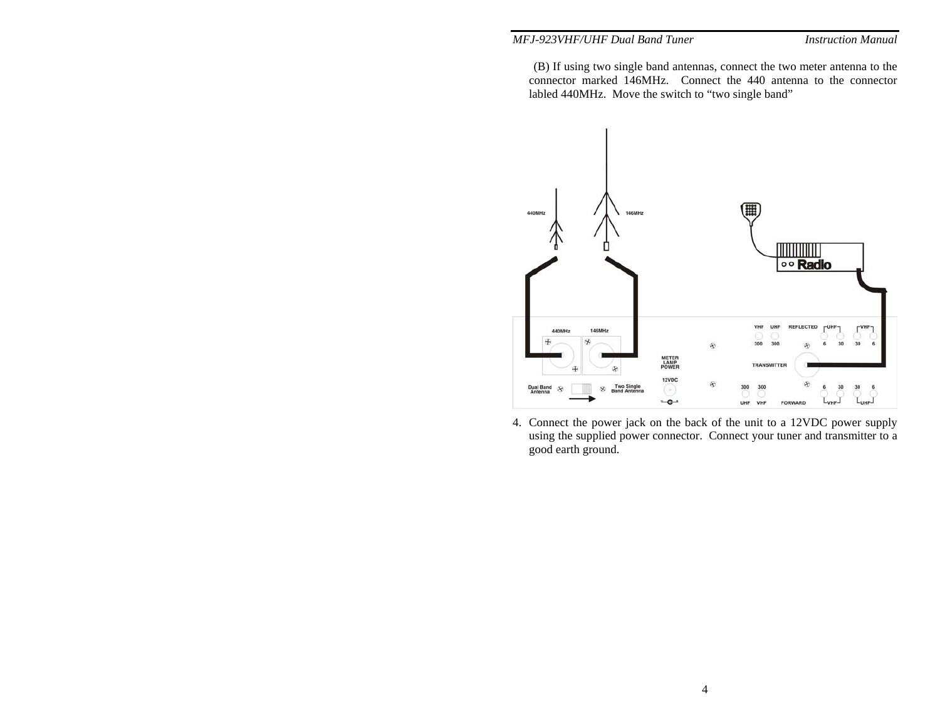#### *MFJ-923VHF/UHF Dual Band Tuner*

 (B) If using two single band antennas, connect the two meter antenna to the connector marked 146MHz. Connect the 440 antenna to the connector labled 440MHz. Move the switch to "two single band"



4. Connect the power jack on the back of the unit to a 12VDC power supply using the supplied power connector. Connect your tuner and transmitter to a good earth ground.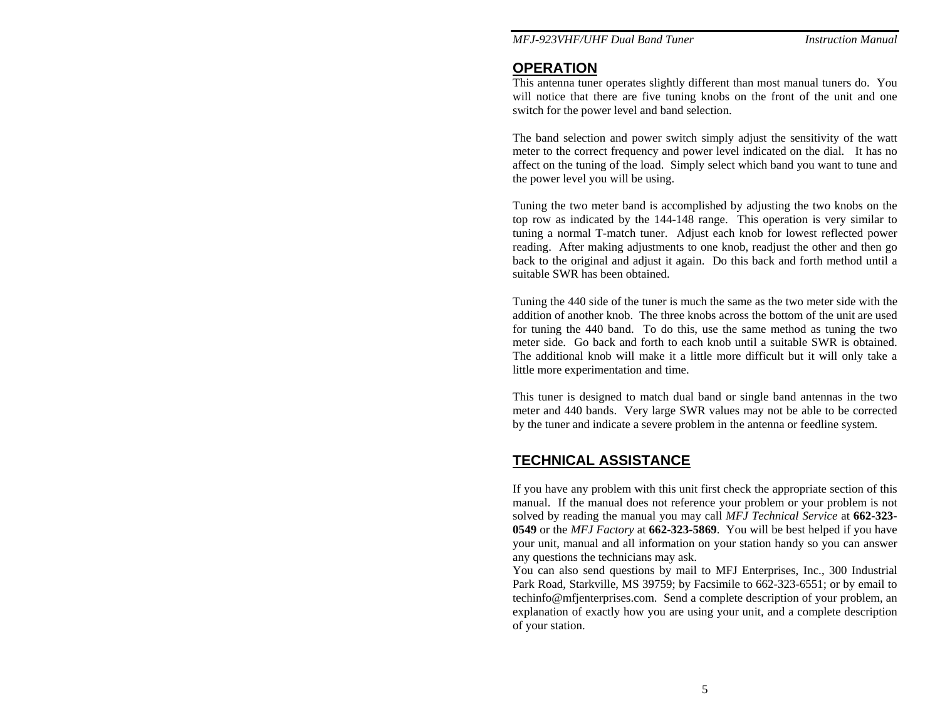*MFJ-923VHF/UHF Dual Band Tuner Instruction Manual* 

### **OPERATION**

This antenna tuner operates slightly different than most manual tuners do. You will notice that there are five tuning knobs on the front of the unit and one switch for the power level and band selection.

The band selection and power switch simply adjust the sensitivity of the watt meter to the correct frequency and power level indicated on the dial. It has no affect on the tuning of the load. Simply select which band you want to tune and the power level you will be using.

Tuning the two meter band is accomplished by adjusting the two knobs on the top row as indicated by the 144-148 range. This operation is very similar to tuning a normal T-match tuner. Adjust each knob for lowest reflected power reading. After making adjustments to one knob, readjust the other and then go back to the original and adjust it again. Do this back and forth method until a suitable SWR has been obtained.

Tuning the 440 side of the tuner is much the same as the two meter side with the addition of another knob. The three knobs across the bottom of the unit are used for tuning the 440 band. To do this, use the same method as tuning the two meter side. Go back and forth to each knob until a suitable SWR is obtained. The additional knob will make it a little more difficult but it will only take a little more experimentation and time.

This tuner is designed to match dual band or single band antennas in the two meter and 440 bands. Very large SWR values may not be able to be corrected by the tuner and indicate a severe problem in the antenna or feedline system.

# **TECHNICAL ASSISTANCE**

If you have any problem with this unit first check the appropriate section of this manual. If the manual does not reference your problem or your problem is not solved by reading the manual you may call *MFJ Technical Service* at **662-323- 0549** or the *MFJ Factory* at **662-323-5869**. You will be best helped if you have your unit, manual and all information on your station handy so you can answer any questions the technicians may ask.

You can also send questions by mail to MFJ Enterprises, Inc., 300 Industrial Park Road, Starkville, MS 39759; by Facsimile to 662-323-6551; or by email to techinfo@mfjenterprises.com. Send a complete description of your problem, an explanation of exactly how you are using your unit, and a complete description of your station.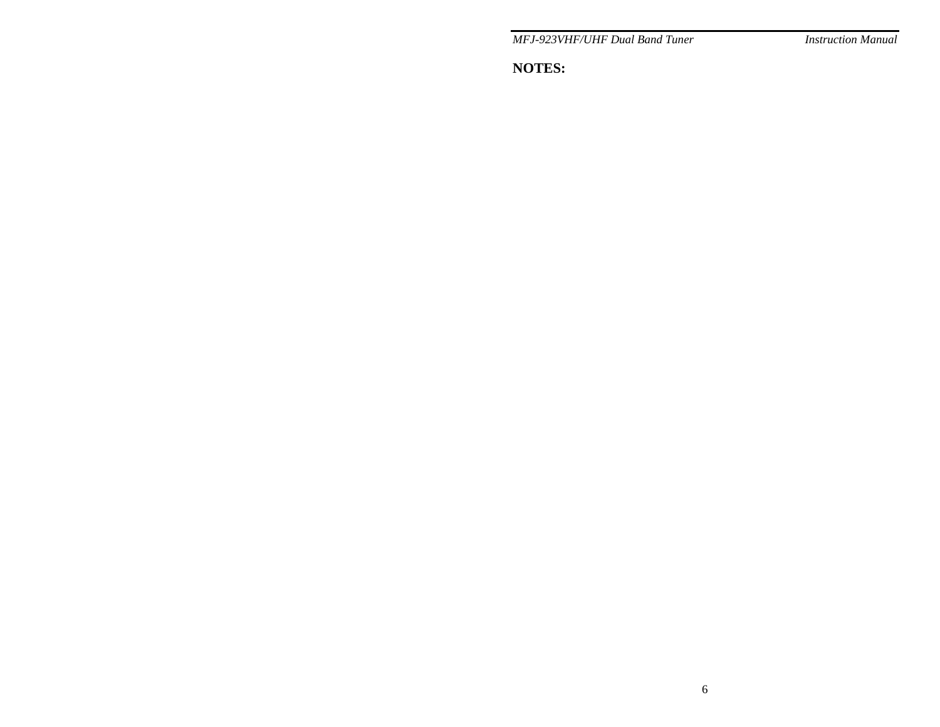*MFJ-923VHF/UHF Dual Band Tuner* 

**Instruction Manual** 

**NOTES:**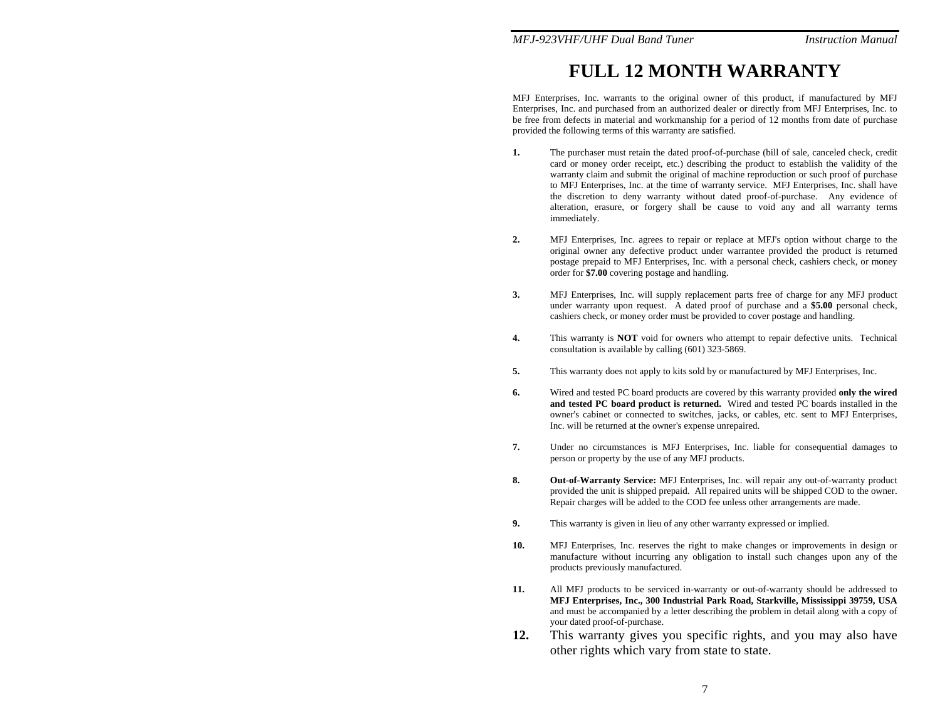#### *MFJ-923VHF/UHF Dual Band Tuner Instruction Manual*

# **FULL 12 MONTH WARRANTY**

MFJ Enterprises, Inc. warrants to the original owner of this product, if manufactured by MFJ Enterprises, Inc. and purchased from an authorized dealer or directly from MFJ Enterprises, Inc. to be free from defects in material and workmanship for a period of 12 months from date of purchase provided the following terms of this warranty are satisfied.

- **1.** The purchaser must retain the dated proof-of-purchase (bill of sale, canceled check, credit card or money order receipt, etc.) describing the product to establish the validity of the warranty claim and submit the original of machine reproduction or such proof of purchase to MFJ Enterprises, Inc. at the time of warranty service. MFJ Enterprises, Inc. shall have the discretion to deny warranty without dated proof-of-purchase. Any evidence of alteration, erasure, or forgery shall be cause to void any and all warranty terms immediately.
- **2.** MFJ Enterprises, Inc. agrees to repair or replace at MFJ's option without charge to the original owner any defective product under warrantee provided the product is returned postage prepaid to MFJ Enterprises, Inc. with a personal check, cashiers check, or money order for **\$7.00** covering postage and handling.
- **3.** MFJ Enterprises, Inc. will supply replacement parts free of charge for any MFJ product under warranty upon request. A dated proof of purchase and a **\$5.00** personal check, cashiers check, or money order must be provided to cover postage and handling.
- **4.** This warranty is **NOT** void for owners who attempt to repair defective units. Technical consultation is available by calling (601) 323-5869.
- **5.** This warranty does not apply to kits sold by or manufactured by MFJ Enterprises, Inc.
- **6.** Wired and tested PC board products are covered by this warranty provided **only the wired and tested PC board product is returned.** Wired and tested PC boards installed in the owner's cabinet or connected to switches, jacks, or cables, etc. sent to MFJ Enterprises, Inc. will be returned at the owner's expense unrepaired.
- **7.** Under no circumstances is MFJ Enterprises, Inc. liable for consequential damages to person or property by the use of any MFJ products.
- **8. Out-of-Warranty Service:** MFJ Enterprises, Inc. will repair any out-of-warranty product provided the unit is shipped prepaid. All repaired units will be shipped COD to the owner. Repair charges will be added to the COD fee unless other arrangements are made.
- **9.** This warranty is given in lieu of any other warranty expressed or implied.
- **10.** MFJ Enterprises, Inc. reserves the right to make changes or improvements in design or manufacture without incurring any obligation to install such changes upon any of the products previously manufactured.
- **11.** All MFJ products to be serviced in-warranty or out-of-warranty should be addressed to **MFJ Enterprises, Inc., 300 Industrial Park Road, Starkville, Mississippi 39759, USA**  and must be accompanied by a letter describing the problem in detail along with a copy of your dated proof-of-purchase.
- **12.** This warranty gives you specific rights, and you may also have other rights which vary from state to state.